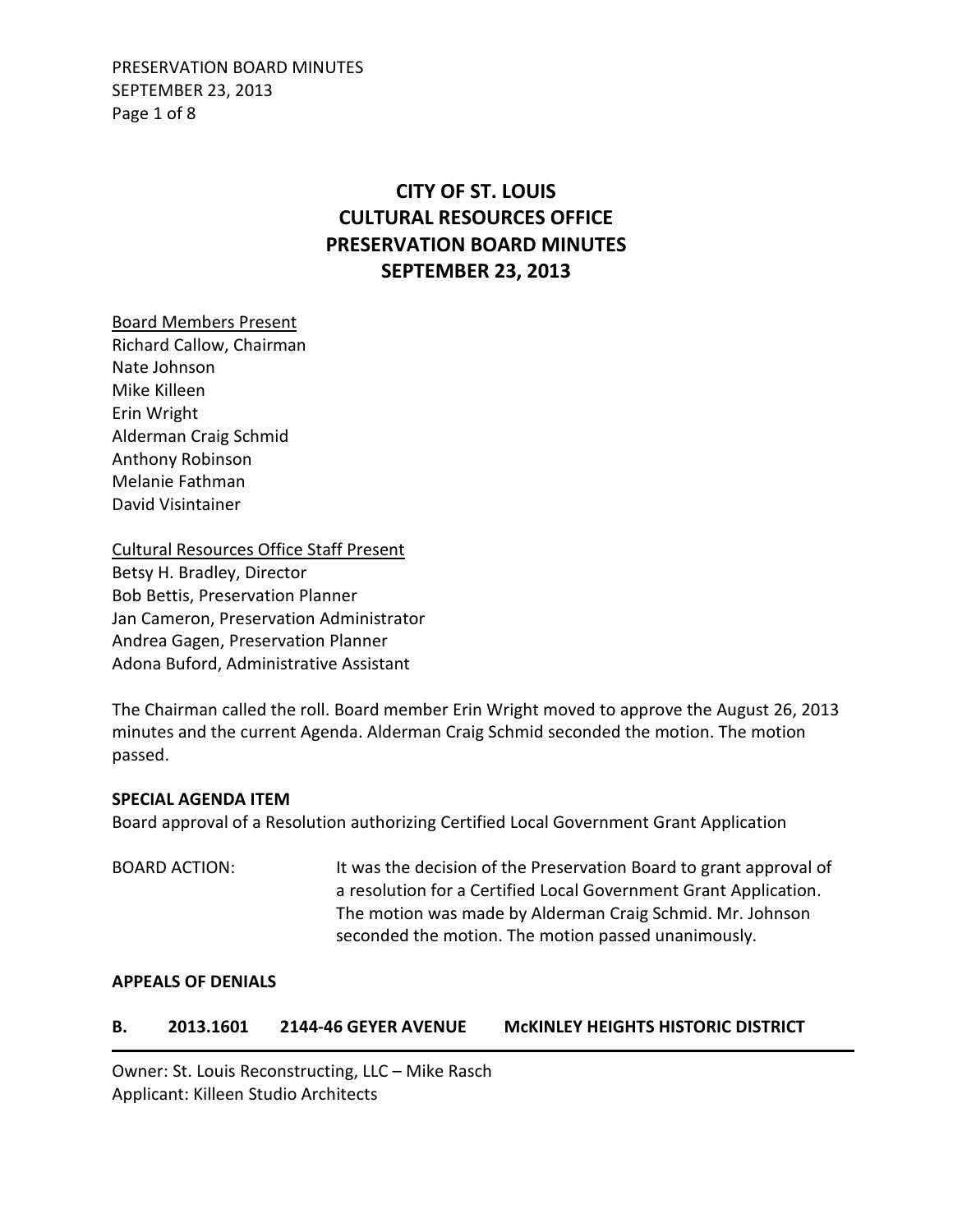PRESERVATION BOARD MINUTES SEPTEMBER 23, 2013 Page 1 of 8

# **CITY OF ST. LOUIS CULTURAL RESOURCES OFFICE PRESERVATION BOARD MINUTES SEPTEMBER 23, 2013**

Board Members Present Richard Callow, Chairman Nate Johnson Mike Killeen Erin Wright Alderman Craig Schmid Anthony Robinson Melanie Fathman David Visintainer

Cultural Resources Office Staff Present Betsy H. Bradley, Director Bob Bettis, Preservation Planner Jan Cameron, Preservation Administrator Andrea Gagen, Preservation Planner Adona Buford, Administrative Assistant

The Chairman called the roll. Board member Erin Wright moved to approve the August 26, 2013 minutes and the current Agenda. Alderman Craig Schmid seconded the motion. The motion passed.

#### **SPECIAL AGENDA ITEM**

Board approval of a Resolution authorizing Certified Local Government Grant Application

BOARD ACTION: It was the decision of the Preservation Board to grant approval of a resolution for a Certified Local Government Grant Application. The motion was made by Alderman Craig Schmid. Mr. Johnson seconded the motion. The motion passed unanimously.

#### **APPEALS OF DENIALS**

#### **B. 2013.1601 2144-46 GEYER AVENUE McKINLEY HEIGHTS HISTORIC DISTRICT**

Owner: St. Louis Reconstructing, LLC – Mike Rasch Applicant: Killeen Studio Architects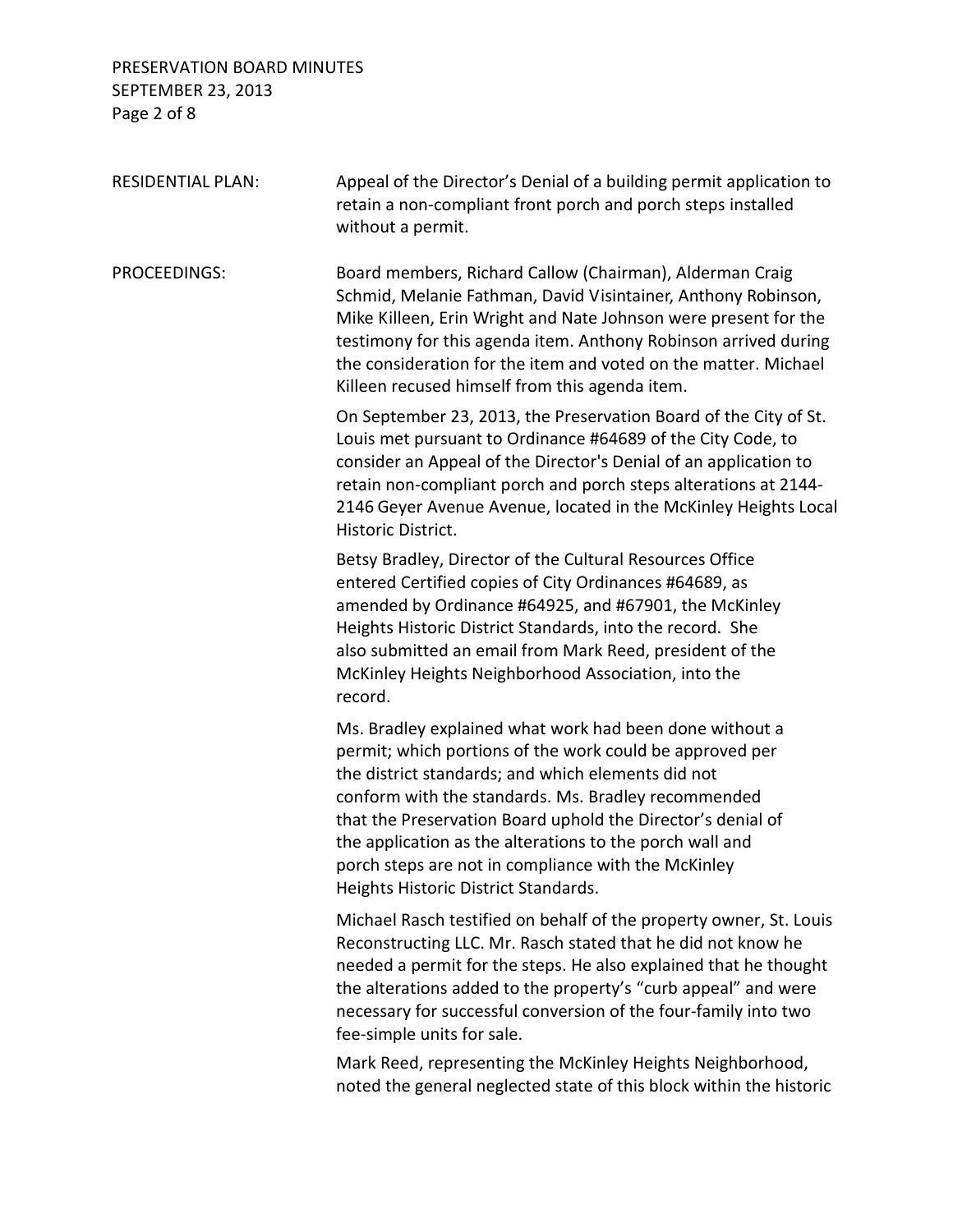## PRESERVATION BOARD MINUTES SEPTEMBER 23, 2013 Page 2 of 8

| <b>RESIDENTIAL PLAN:</b> | Appeal of the Director's Denial of a building permit application to<br>retain a non-compliant front porch and porch steps installed<br>without a permit.                                                                                                                                                                                                                                                                                                   |
|--------------------------|------------------------------------------------------------------------------------------------------------------------------------------------------------------------------------------------------------------------------------------------------------------------------------------------------------------------------------------------------------------------------------------------------------------------------------------------------------|
| PROCEEDINGS:             | Board members, Richard Callow (Chairman), Alderman Craig<br>Schmid, Melanie Fathman, David Visintainer, Anthony Robinson,<br>Mike Killeen, Erin Wright and Nate Johnson were present for the<br>testimony for this agenda item. Anthony Robinson arrived during<br>the consideration for the item and voted on the matter. Michael<br>Killeen recused himself from this agenda item.                                                                       |
|                          | On September 23, 2013, the Preservation Board of the City of St.<br>Louis met pursuant to Ordinance #64689 of the City Code, to<br>consider an Appeal of the Director's Denial of an application to<br>retain non-compliant porch and porch steps alterations at 2144-<br>2146 Geyer Avenue Avenue, located in the McKinley Heights Local<br>Historic District.                                                                                            |
|                          | Betsy Bradley, Director of the Cultural Resources Office<br>entered Certified copies of City Ordinances #64689, as<br>amended by Ordinance #64925, and #67901, the McKinley<br>Heights Historic District Standards, into the record. She<br>also submitted an email from Mark Reed, president of the<br>McKinley Heights Neighborhood Association, into the<br>record.                                                                                     |
|                          | Ms. Bradley explained what work had been done without a<br>permit; which portions of the work could be approved per<br>the district standards; and which elements did not<br>conform with the standards. Ms. Bradley recommended<br>that the Preservation Board uphold the Director's denial of<br>the application as the alterations to the porch wall and<br>porch steps are not in compliance with the McKinley<br>Heights Historic District Standards. |
|                          | Michael Rasch testified on behalf of the property owner, St. Louis<br>Reconstructing LLC. Mr. Rasch stated that he did not know he<br>needed a permit for the steps. He also explained that he thought<br>the alterations added to the property's "curb appeal" and were<br>necessary for successful conversion of the four-family into two<br>fee-simple units for sale.                                                                                  |
|                          | Mark Reed, representing the McKinley Heights Neighborhood,<br>noted the general neglected state of this block within the historic                                                                                                                                                                                                                                                                                                                          |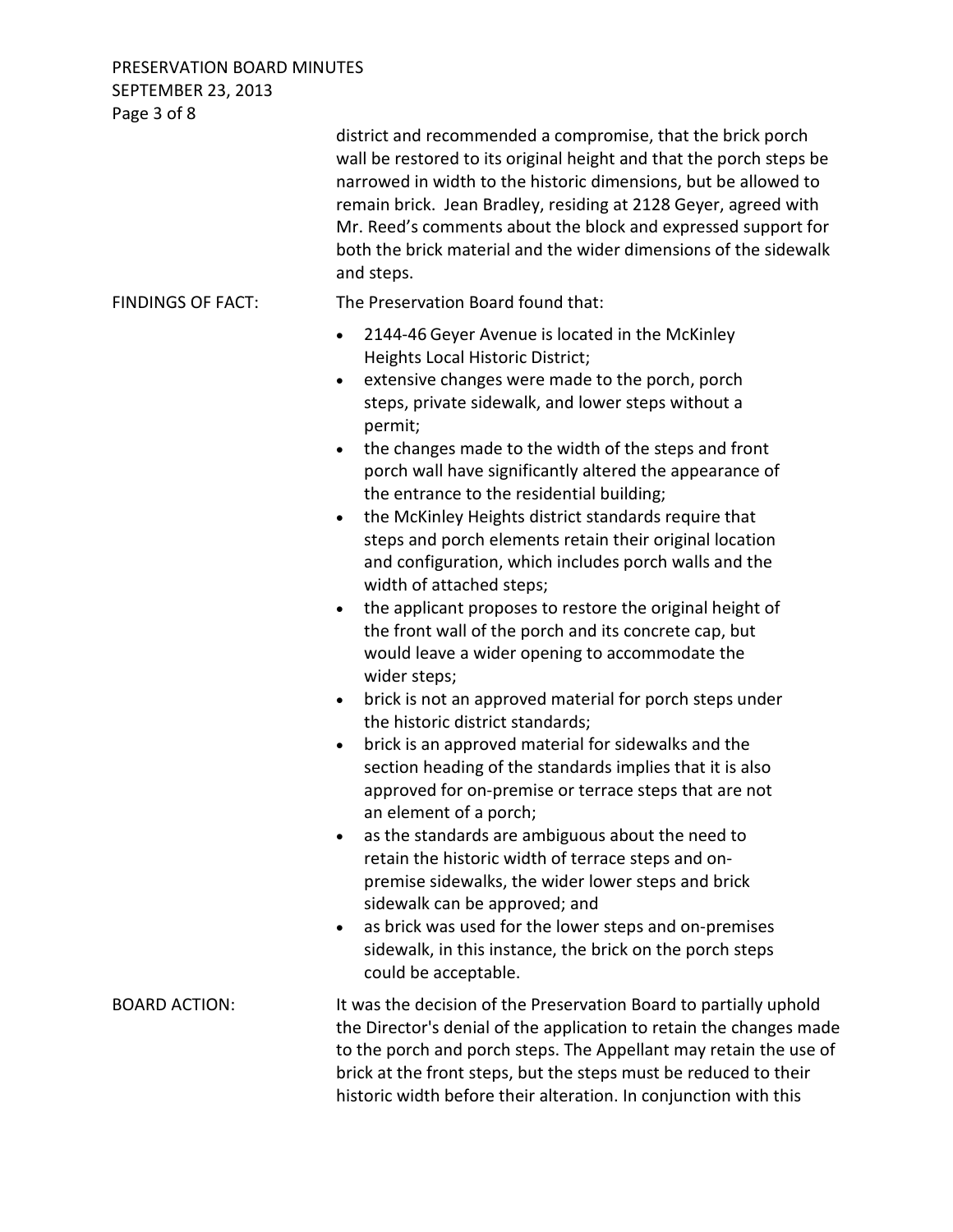PRESERVATION BOARD MINUTES SEPTEMBER 23, 2013

| Page 3 of 8              |                                                                                                                                                                                                                                                                                                                                                                                                                                                                                                                                                                                                                                                                                                                                                                                                                                                                                                                                                                                                                                                                                                                                                                                                                                                                                                                                                                                                                                                                                                                                   |
|--------------------------|-----------------------------------------------------------------------------------------------------------------------------------------------------------------------------------------------------------------------------------------------------------------------------------------------------------------------------------------------------------------------------------------------------------------------------------------------------------------------------------------------------------------------------------------------------------------------------------------------------------------------------------------------------------------------------------------------------------------------------------------------------------------------------------------------------------------------------------------------------------------------------------------------------------------------------------------------------------------------------------------------------------------------------------------------------------------------------------------------------------------------------------------------------------------------------------------------------------------------------------------------------------------------------------------------------------------------------------------------------------------------------------------------------------------------------------------------------------------------------------------------------------------------------------|
|                          | district and recommended a compromise, that the brick porch<br>wall be restored to its original height and that the porch steps be<br>narrowed in width to the historic dimensions, but be allowed to<br>remain brick. Jean Bradley, residing at 2128 Geyer, agreed with<br>Mr. Reed's comments about the block and expressed support for<br>both the brick material and the wider dimensions of the sidewalk<br>and steps.                                                                                                                                                                                                                                                                                                                                                                                                                                                                                                                                                                                                                                                                                                                                                                                                                                                                                                                                                                                                                                                                                                       |
| <b>FINDINGS OF FACT:</b> | The Preservation Board found that:                                                                                                                                                                                                                                                                                                                                                                                                                                                                                                                                                                                                                                                                                                                                                                                                                                                                                                                                                                                                                                                                                                                                                                                                                                                                                                                                                                                                                                                                                                |
|                          | 2144-46 Geyer Avenue is located in the McKinley<br>$\bullet$<br>Heights Local Historic District;<br>extensive changes were made to the porch, porch<br>$\bullet$<br>steps, private sidewalk, and lower steps without a<br>permit;<br>the changes made to the width of the steps and front<br>porch wall have significantly altered the appearance of<br>the entrance to the residential building;<br>the McKinley Heights district standards require that<br>$\bullet$<br>steps and porch elements retain their original location<br>and configuration, which includes porch walls and the<br>width of attached steps;<br>the applicant proposes to restore the original height of<br>$\bullet$<br>the front wall of the porch and its concrete cap, but<br>would leave a wider opening to accommodate the<br>wider steps;<br>brick is not an approved material for porch steps under<br>$\bullet$<br>the historic district standards;<br>brick is an approved material for sidewalks and the<br>$\bullet$<br>section heading of the standards implies that it is also<br>approved for on-premise or terrace steps that are not<br>an element of a porch;<br>as the standards are ambiguous about the need to<br>$\bullet$<br>retain the historic width of terrace steps and on-<br>premise sidewalks, the wider lower steps and brick<br>sidewalk can be approved; and<br>as brick was used for the lower steps and on-premises<br>$\bullet$<br>sidewalk, in this instance, the brick on the porch steps<br>could be acceptable. |
| <b>BOARD ACTION:</b>     | It was the decision of the Preservation Board to partially uphold<br>the Director's denial of the application to retain the changes made<br>to the porch and porch steps. The Appellant may retain the use of<br>brick at the front steps, but the steps must be reduced to their<br>historic width before their alteration. In conjunction with this                                                                                                                                                                                                                                                                                                                                                                                                                                                                                                                                                                                                                                                                                                                                                                                                                                                                                                                                                                                                                                                                                                                                                                             |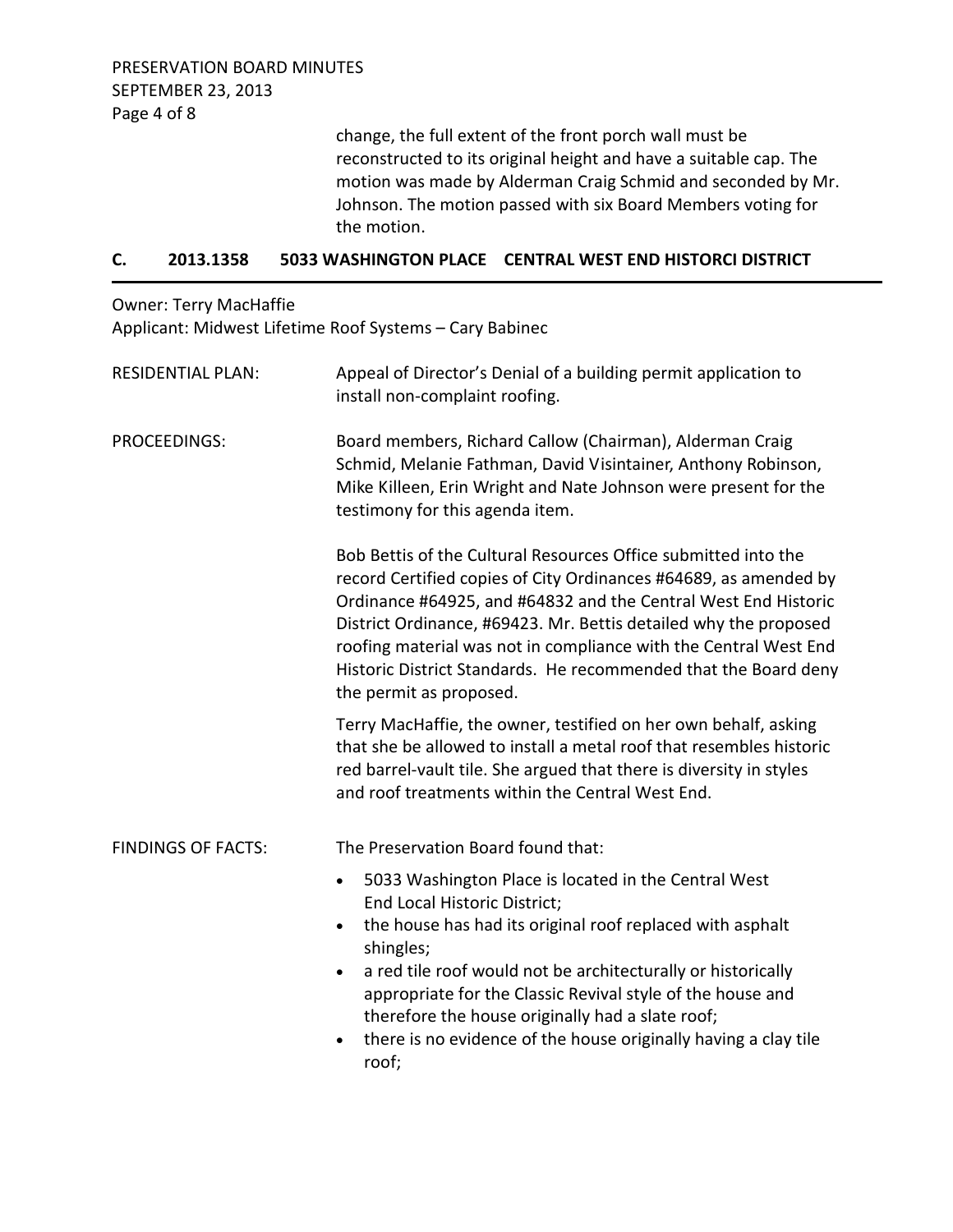change, the full extent of the front porch wall must be reconstructed to its original height and have a suitable cap. The motion was made by Alderman Craig Schmid and seconded by Mr. Johnson. The motion passed with six Board Members voting for the motion.

#### **C. 2013.1358 5033 WASHINGTON PLACE CENTRAL WEST END HISTORCI DISTRICT**

Owner: Terry MacHaffie Applicant: Midwest Lifetime Roof Systems – Cary Babinec

| <b>RESIDENTIAL PLAN:</b>  | Appeal of Director's Denial of a building permit application to<br>install non-complaint roofing.                                                                                                                                                                                                                                                                                                                                                                                |  |
|---------------------------|----------------------------------------------------------------------------------------------------------------------------------------------------------------------------------------------------------------------------------------------------------------------------------------------------------------------------------------------------------------------------------------------------------------------------------------------------------------------------------|--|
| PROCEEDINGS:              | Board members, Richard Callow (Chairman), Alderman Craig<br>Schmid, Melanie Fathman, David Visintainer, Anthony Robinson,<br>Mike Killeen, Erin Wright and Nate Johnson were present for the<br>testimony for this agenda item.                                                                                                                                                                                                                                                  |  |
|                           | Bob Bettis of the Cultural Resources Office submitted into the<br>record Certified copies of City Ordinances #64689, as amended by<br>Ordinance #64925, and #64832 and the Central West End Historic<br>District Ordinance, #69423. Mr. Bettis detailed why the proposed<br>roofing material was not in compliance with the Central West End<br>Historic District Standards. He recommended that the Board deny<br>the permit as proposed.                                       |  |
|                           | Terry MacHaffie, the owner, testified on her own behalf, asking<br>that she be allowed to install a metal roof that resembles historic<br>red barrel-vault tile. She argued that there is diversity in styles<br>and roof treatments within the Central West End.                                                                                                                                                                                                                |  |
| <b>FINDINGS OF FACTS:</b> | The Preservation Board found that:                                                                                                                                                                                                                                                                                                                                                                                                                                               |  |
|                           | 5033 Washington Place is located in the Central West<br>$\bullet$<br>End Local Historic District;<br>the house has had its original roof replaced with asphalt<br>$\bullet$<br>shingles;<br>a red tile roof would not be architecturally or historically<br>$\bullet$<br>appropriate for the Classic Revival style of the house and<br>therefore the house originally had a slate roof;<br>there is no evidence of the house originally having a clay tile<br>$\bullet$<br>roof; |  |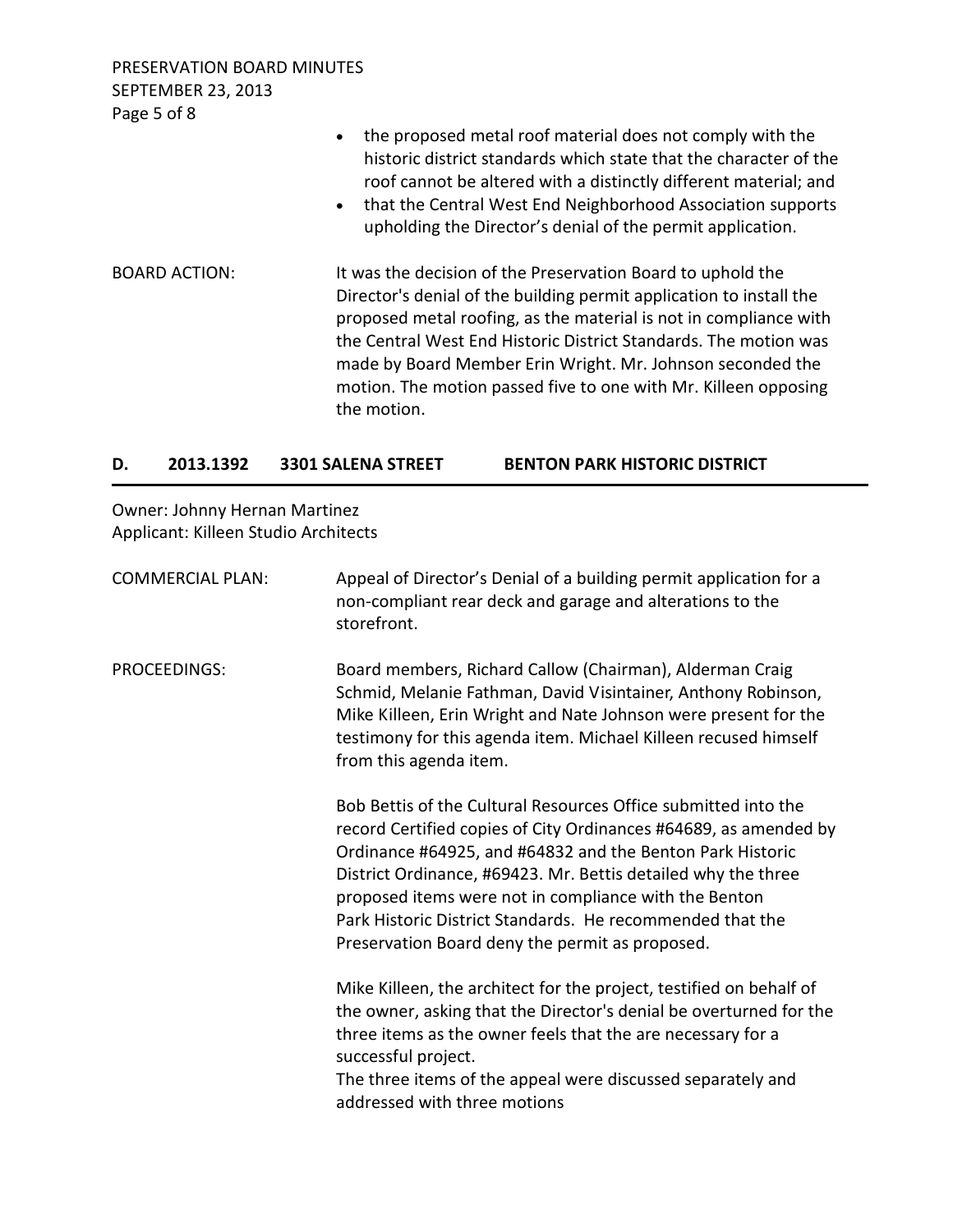PRESERVATION BOARD MINUTES SEPTEMBER 23, 2013 Page 5 of 8

|                      | the proposed metal roof material does not comply with the<br>historic district standards which state that the character of the<br>roof cannot be altered with a distinctly different material; and<br>that the Central West End Neighborhood Association supports<br>$\bullet$<br>upholding the Director's denial of the permit application.                                                                                |
|----------------------|-----------------------------------------------------------------------------------------------------------------------------------------------------------------------------------------------------------------------------------------------------------------------------------------------------------------------------------------------------------------------------------------------------------------------------|
| <b>BOARD ACTION:</b> | It was the decision of the Preservation Board to uphold the<br>Director's denial of the building permit application to install the<br>proposed metal roofing, as the material is not in compliance with<br>the Central West End Historic District Standards. The motion was<br>made by Board Member Erin Wright. Mr. Johnson seconded the<br>motion. The motion passed five to one with Mr. Killeen opposing<br>the motion. |

### **D. 2013.1392 3301 SALENA STREET BENTON PARK HISTORIC DISTRICT**

Owner: Johnny Hernan Martinez Applicant: Killeen Studio Architects

| <b>COMMERCIAL PLAN:</b> | Appeal of Director's Denial of a building permit application for a<br>non-compliant rear deck and garage and alterations to the<br>storefront.                                                                                                                                                                                                                                                                                            |
|-------------------------|-------------------------------------------------------------------------------------------------------------------------------------------------------------------------------------------------------------------------------------------------------------------------------------------------------------------------------------------------------------------------------------------------------------------------------------------|
| <b>PROCEEDINGS:</b>     | Board members, Richard Callow (Chairman), Alderman Craig<br>Schmid, Melanie Fathman, David Visintainer, Anthony Robinson,<br>Mike Killeen, Erin Wright and Nate Johnson were present for the<br>testimony for this agenda item. Michael Killeen recused himself<br>from this agenda item.                                                                                                                                                 |
|                         | Bob Bettis of the Cultural Resources Office submitted into the<br>record Certified copies of City Ordinances #64689, as amended by<br>Ordinance #64925, and #64832 and the Benton Park Historic<br>District Ordinance, #69423. Mr. Bettis detailed why the three<br>proposed items were not in compliance with the Benton<br>Park Historic District Standards. He recommended that the<br>Preservation Board deny the permit as proposed. |
|                         | Mike Killeen, the architect for the project, testified on behalf of<br>the owner, asking that the Director's denial be overturned for the<br>three items as the owner feels that the are necessary for a<br>successful project.<br>The three items of the appeal were discussed separately and<br>addressed with three motions                                                                                                            |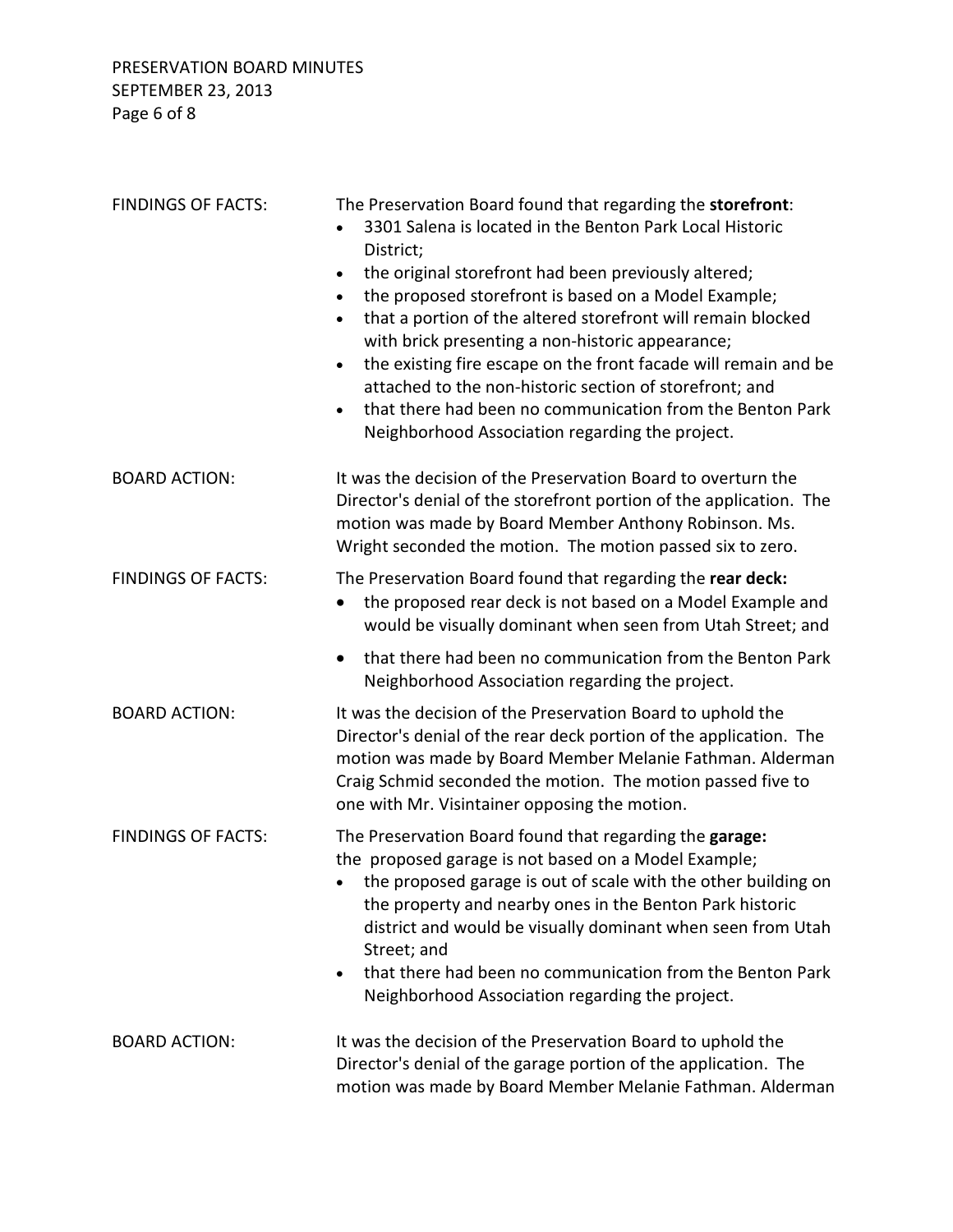| <b>FINDINGS OF FACTS:</b> | The Preservation Board found that regarding the storefront:<br>3301 Salena is located in the Benton Park Local Historic<br>District;<br>the original storefront had been previously altered;<br>the proposed storefront is based on a Model Example;<br>that a portion of the altered storefront will remain blocked<br>with brick presenting a non-historic appearance;<br>the existing fire escape on the front facade will remain and be<br>$\bullet$<br>attached to the non-historic section of storefront; and<br>that there had been no communication from the Benton Park<br>$\bullet$<br>Neighborhood Association regarding the project. |
|---------------------------|--------------------------------------------------------------------------------------------------------------------------------------------------------------------------------------------------------------------------------------------------------------------------------------------------------------------------------------------------------------------------------------------------------------------------------------------------------------------------------------------------------------------------------------------------------------------------------------------------------------------------------------------------|
| <b>BOARD ACTION:</b>      | It was the decision of the Preservation Board to overturn the<br>Director's denial of the storefront portion of the application. The<br>motion was made by Board Member Anthony Robinson. Ms.<br>Wright seconded the motion. The motion passed six to zero.                                                                                                                                                                                                                                                                                                                                                                                      |
| <b>FINDINGS OF FACTS:</b> | The Preservation Board found that regarding the rear deck:<br>the proposed rear deck is not based on a Model Example and<br>would be visually dominant when seen from Utah Street; and                                                                                                                                                                                                                                                                                                                                                                                                                                                           |
|                           | that there had been no communication from the Benton Park<br>Neighborhood Association regarding the project.                                                                                                                                                                                                                                                                                                                                                                                                                                                                                                                                     |
| <b>BOARD ACTION:</b>      | It was the decision of the Preservation Board to uphold the<br>Director's denial of the rear deck portion of the application. The<br>motion was made by Board Member Melanie Fathman. Alderman<br>Craig Schmid seconded the motion. The motion passed five to<br>one with Mr. Visintainer opposing the motion.                                                                                                                                                                                                                                                                                                                                   |
| <b>FINDINGS OF FACTS:</b> | The Preservation Board found that regarding the garage:<br>the proposed garage is not based on a Model Example;<br>• the proposed garage is out of scale with the other building on<br>the property and nearby ones in the Benton Park historic<br>district and would be visually dominant when seen from Utah<br>Street; and<br>that there had been no communication from the Benton Park<br>Neighborhood Association regarding the project.                                                                                                                                                                                                    |
| <b>BOARD ACTION:</b>      | It was the decision of the Preservation Board to uphold the<br>Director's denial of the garage portion of the application. The<br>motion was made by Board Member Melanie Fathman. Alderman                                                                                                                                                                                                                                                                                                                                                                                                                                                      |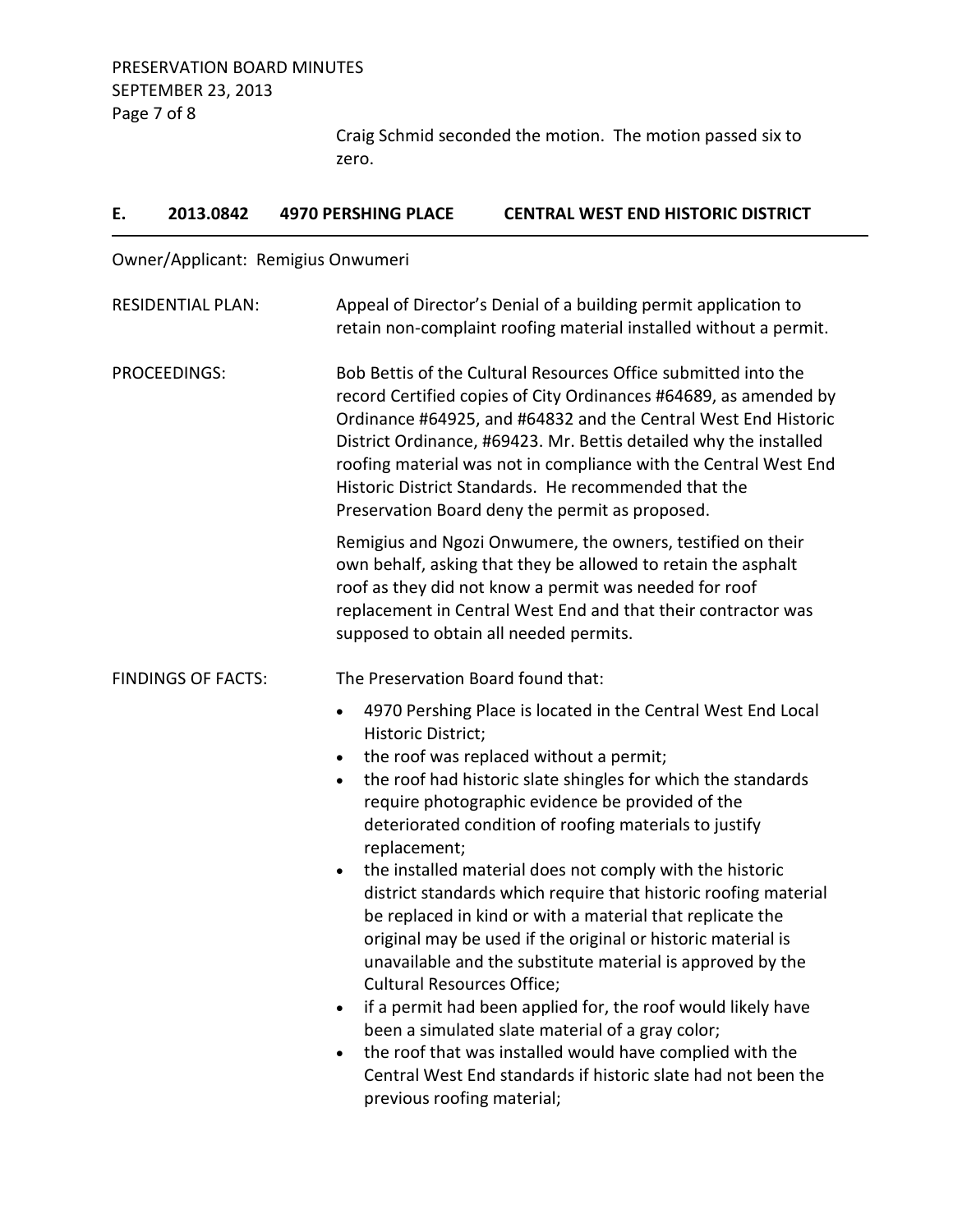Craig Schmid seconded the motion. The motion passed six to zero.

| Ε. | 2013.0842                 | <b>4970 PERSHING PLACE</b>                                                                                       | <b>CENTRAL WEST END HISTORIC DISTRICT</b>                                                                                                                                                                                                                                                                                                                                                                                                                |
|----|---------------------------|------------------------------------------------------------------------------------------------------------------|----------------------------------------------------------------------------------------------------------------------------------------------------------------------------------------------------------------------------------------------------------------------------------------------------------------------------------------------------------------------------------------------------------------------------------------------------------|
|    |                           | Owner/Applicant: Remigius Onwumeri                                                                               |                                                                                                                                                                                                                                                                                                                                                                                                                                                          |
|    | <b>RESIDENTIAL PLAN:</b>  |                                                                                                                  | Appeal of Director's Denial of a building permit application to<br>retain non-complaint roofing material installed without a permit.                                                                                                                                                                                                                                                                                                                     |
|    | <b>PROCEEDINGS:</b>       |                                                                                                                  | Bob Bettis of the Cultural Resources Office submitted into the<br>record Certified copies of City Ordinances #64689, as amended by<br>Ordinance #64925, and #64832 and the Central West End Historic<br>District Ordinance, #69423. Mr. Bettis detailed why the installed<br>roofing material was not in compliance with the Central West End<br>Historic District Standards. He recommended that the<br>Preservation Board deny the permit as proposed. |
|    |                           |                                                                                                                  | Remigius and Ngozi Onwumere, the owners, testified on their<br>own behalf, asking that they be allowed to retain the asphalt<br>roof as they did not know a permit was needed for roof<br>replacement in Central West End and that their contractor was<br>supposed to obtain all needed permits.                                                                                                                                                        |
|    | <b>FINDINGS OF FACTS:</b> | The Preservation Board found that:                                                                               |                                                                                                                                                                                                                                                                                                                                                                                                                                                          |
|    |                           | $\bullet$<br>Historic District;                                                                                  | 4970 Pershing Place is located in the Central West End Local<br>the roof was replaced without a permit;                                                                                                                                                                                                                                                                                                                                                  |
|    |                           | $\bullet$                                                                                                        | the roof had historic slate shingles for which the standards<br>require photographic evidence be provided of the                                                                                                                                                                                                                                                                                                                                         |
|    |                           | deteriorated condition of roofing materials to justify                                                           |                                                                                                                                                                                                                                                                                                                                                                                                                                                          |
|    |                           | replacement;<br><b>Cultural Resources Office;</b>                                                                | the installed material does not comply with the historic<br>district standards which require that historic roofing material<br>be replaced in kind or with a material that replicate the<br>original may be used if the original or historic material is<br>unavailable and the substitute material is approved by the                                                                                                                                   |
|    | $\bullet$                 | if a permit had been applied for, the roof would likely have<br>been a simulated slate material of a gray color; |                                                                                                                                                                                                                                                                                                                                                                                                                                                          |
|    |                           | previous roofing material;                                                                                       | the roof that was installed would have complied with the<br>Central West End standards if historic slate had not been the                                                                                                                                                                                                                                                                                                                                |